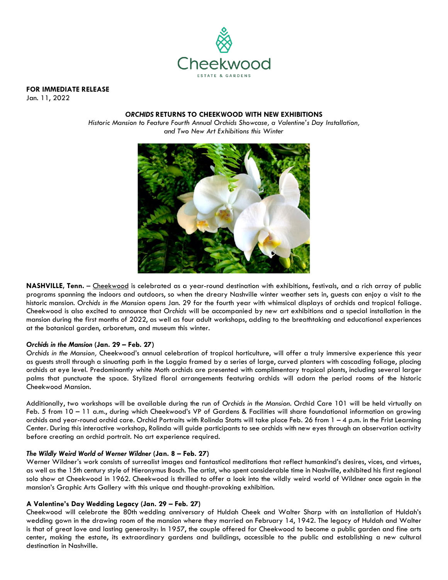

**FOR IMMEDIATE RELEASE**

Jan. 11, 2022

## *ORCHIDS* **RETURNS TO CHEEKWOOD WITH NEW EXHIBITIONS**

*Historic Mansion to Feature Fourth Annual Orchids Showcase, a Valentine's Day Installation, and Two New Art Exhibitions this Winter*



**NASHVILLE, Tenn.** – [Cheekwood](http://www.cheekwood.org/) is celebrated as a year-round destination with exhibitions, festivals, and a rich array of public programs spanning the indoors and outdoors, so when the dreary Nashville winter weather sets in, guests can enjoy a visit to the historic mansion. *Orchids in the Mansion* opens Jan. 29 for the fourth year with whimsical displays of orchids and tropical foliage. Cheekwood is also excited to announce that *Orchids* will be accompanied by new art exhibitions and a special installation in the mansion during the first months of 2022, as well as four adult workshops, adding to the breathtaking and educational experiences at the botanical garden, arboretum, and museum this winter.

# *Orchids in the Mansion* **(Jan. 29 – Feb. 27)**

*Orchids in the Mansion,* Cheekwood's annual celebration of tropical horticulture, will offer a truly immersive experience this year as guests stroll through a sinuating path in the Loggia framed by a series of large, curved planters with cascading foliage, placing orchids at eye level. Predominantly white Moth orchids are presented with complimentary tropical plants, including several larger palms that punctuate the space. Stylized floral arrangements featuring orchids will adorn the period rooms of the historic Cheekwood Mansion.

Additionally, two workshops will be available during the run of *Orchids in the Mansion*. Orchid Care 101 will be held virtually on Feb. 5 from 10 – 11 a.m., during which Cheekwood's VP of Gardens & Facilities will share foundational information on growing orchids and year-round orchid care. Orchid Portraits with Rolinda Stotts will take place Feb. 26 from 1 – 4 p.m. in the Frist Learning Center. During this interactive workshop, Rolinda will guide participants to see orchids with new eyes through an observation activity before creating an orchid portrait. No art experience required.

#### *The Wildly Weird World of Werner Wildner* **(Jan. 8 – Feb. 27)**

Werner Wildner's work consists of surrealist images and fantastical meditations that reflect humankind's desires, vices, and virtues, as well as the 15th century style of Hieronymus Bosch. The artist, who spent considerable time in Nashville, exhibited his first regional solo show at Cheekwood in 1962. Cheekwood is thrilled to offer a look into the wildly weird world of Wildner once again in the mansion's Graphic Arts Gallery with this unique and thought-provoking exhibition.

# **A Valentine's Day Wedding Legacy (Jan. 29 – Feb. 27)**

Cheekwood will celebrate the 80th wedding anniversary of Huldah Cheek and Walter Sharp with an installation of Huldah's wedding gown in the drawing room of the mansion where they married on February 14, 1942. The legacy of Huldah and Walter is that of great love and lasting generosity: In 1957, the couple offered for Cheekwood to become a public garden and fine arts center, making the estate, its extraordinary gardens and buildings, accessible to the public and establishing a new cultural destination in Nashville.